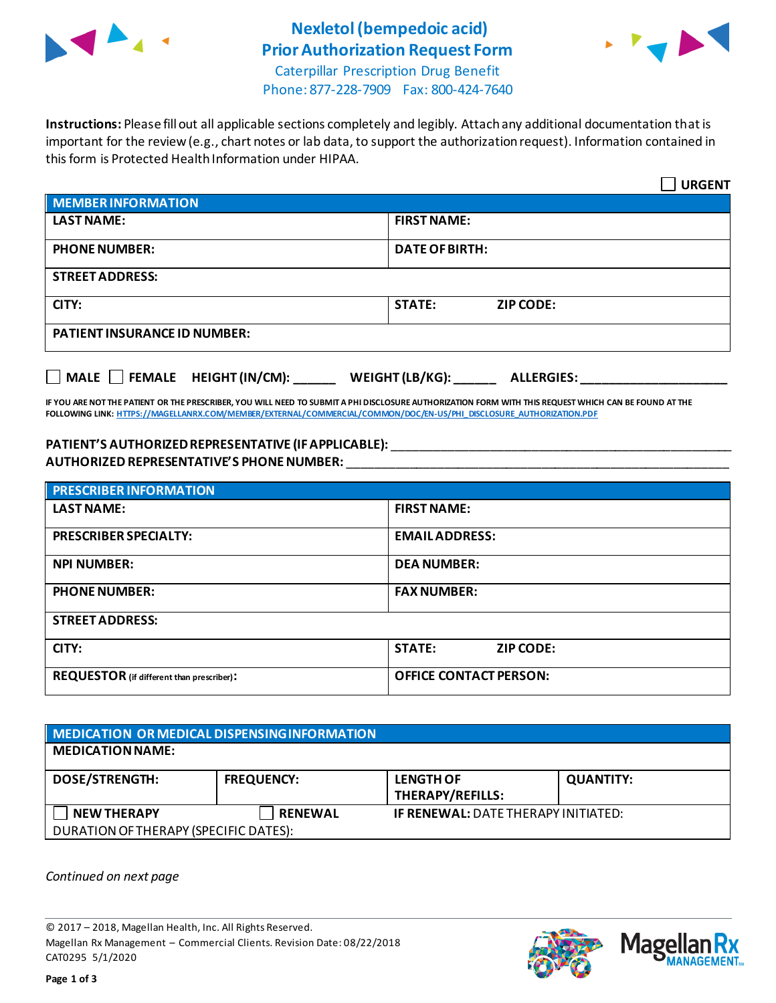

## **Nexletol (bempedoic acid) Prior Authorization Request Form**



Caterpillar Prescription Drug Benefit Phone: 877-228-7909 Fax: 800-424-7640

**Instructions:** Please fill out all applicable sections completely and legibly. Attach any additional documentation that is important for the review (e.g., chart notes or lab data, to support the authorization request). Information contained in this form is Protected Health Information under HIPAA.

|                                                                                   | <b>URGENT</b>                     |  |  |  |
|-----------------------------------------------------------------------------------|-----------------------------------|--|--|--|
| <b>MEMBER INFORMATION</b>                                                         |                                   |  |  |  |
| <b>LAST NAME:</b>                                                                 | <b>FIRST NAME:</b>                |  |  |  |
| <b>PHONE NUMBER:</b>                                                              | <b>DATE OF BIRTH:</b>             |  |  |  |
| <b>STREET ADDRESS:</b>                                                            |                                   |  |  |  |
| CITY:                                                                             | <b>STATE:</b><br><b>ZIP CODE:</b> |  |  |  |
| <b>PATIENT INSURANCE ID NUMBER:</b>                                               |                                   |  |  |  |
| $\Box$ MALE $\Box$ FEMALE HEIGHT (IN/CM):<br>WEIGHT (LB/KG):<br><b>ALLERGIES:</b> |                                   |  |  |  |

**IF YOU ARE NOT THE PATIENT OR THE PRESCRIBER, YOU WILL NEED TO SUBMIT A PHI DISCLOSURE AUTHORIZATION FORM WITH THIS REQUEST WHICH CAN BE FOUND AT THE FOLLOWING LINK[: HTTPS://MAGELLANRX.COM/MEMBER/EXTERNAL/COMMERCIAL/COMMON/DOC/EN-US/PHI\\_DISCLOSURE\\_AUTHORIZATION.PDF](https://magellanrx.com/member/external/commercial/common/doc/en-us/PHI_Disclosure_Authorization.pdf)**

## **PATIENT'S AUTHORIZEDREPRESENTATIVE (IF APPLICABLE):** \_\_\_\_\_\_\_\_\_\_\_\_\_\_\_\_\_\_\_\_\_\_\_\_\_\_\_\_\_\_\_\_\_\_\_\_\_\_\_\_\_\_\_\_\_\_\_\_\_ **AUTHORIZED REPRESENTATIVE'S PHONE NUMBER:** \_\_\_\_\_\_\_\_\_\_\_\_\_\_\_\_\_\_\_\_\_\_\_\_\_\_\_\_\_\_\_\_\_\_\_\_\_\_\_\_\_\_\_\_\_\_\_\_\_\_\_\_\_\_\_

| <b>PRESCRIBER INFORMATION</b>             |                               |  |  |
|-------------------------------------------|-------------------------------|--|--|
| <b>LAST NAME:</b>                         | <b>FIRST NAME:</b>            |  |  |
| <b>PRESCRIBER SPECIALTY:</b>              | <b>EMAIL ADDRESS:</b>         |  |  |
| <b>NPI NUMBER:</b>                        | <b>DEA NUMBER:</b>            |  |  |
| <b>PHONE NUMBER:</b>                      | <b>FAX NUMBER:</b>            |  |  |
| <b>STREET ADDRESS:</b>                    |                               |  |  |
| CITY:                                     | <b>STATE:</b><br>ZIP CODE:    |  |  |
| REQUESTOR (if different than prescriber): | <b>OFFICE CONTACT PERSON:</b> |  |  |

| MEDICATION OR MEDICAL DISPENSING INFORMATION |                   |                                             |                  |  |  |
|----------------------------------------------|-------------------|---------------------------------------------|------------------|--|--|
| <b>MEDICATION NAME:</b>                      |                   |                                             |                  |  |  |
| <b>DOSE/STRENGTH:</b>                        | <b>FREQUENCY:</b> | <b>LENGTH OF</b><br><b>THERAPY/REFILLS:</b> | <b>QUANTITY:</b> |  |  |
| <b>NEW THERAPY</b>                           | <b>RENEWAL</b>    | <b>IF RENEWAL: DATE THERAPY INITIATED:</b>  |                  |  |  |
| DURATION OF THERAPY (SPECIFIC DATES):        |                   |                                             |                  |  |  |

*Continued on next page*

© 2017 – 2018, Magellan Health, Inc. All Rights Reserved. Magellan Rx Management – Commercial Clients. Revision Date: 08/22/2018 CAT0295 5/1/2020



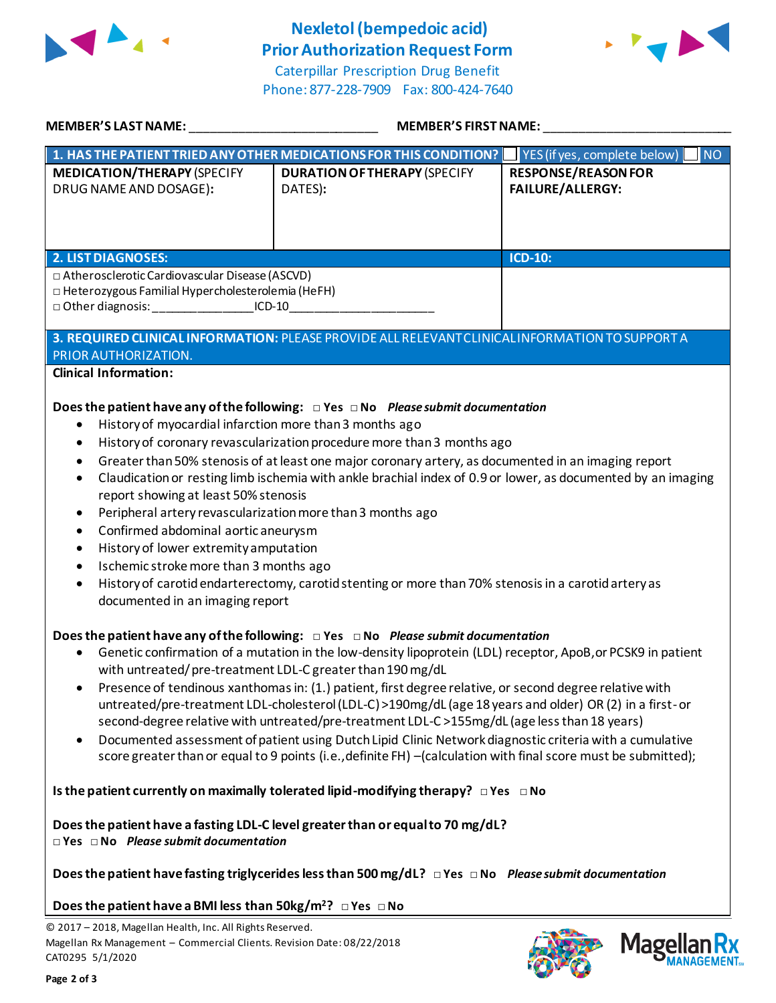

## **Nexletol (bempedoic acid) Prior Authorization Request Form**





| <b>MEMBER'S LAST NAME:</b>                                                                                                                                                                                                                                                                                                                                                                                                                                                                                                                                                                                                                                                                                                                                                                                                                | <b>MEMBER'S FIRST NAME:</b>                                                                                                                                                                                                                                                                                                                                                           |                                                                                                              |  |  |
|-------------------------------------------------------------------------------------------------------------------------------------------------------------------------------------------------------------------------------------------------------------------------------------------------------------------------------------------------------------------------------------------------------------------------------------------------------------------------------------------------------------------------------------------------------------------------------------------------------------------------------------------------------------------------------------------------------------------------------------------------------------------------------------------------------------------------------------------|---------------------------------------------------------------------------------------------------------------------------------------------------------------------------------------------------------------------------------------------------------------------------------------------------------------------------------------------------------------------------------------|--------------------------------------------------------------------------------------------------------------|--|--|
|                                                                                                                                                                                                                                                                                                                                                                                                                                                                                                                                                                                                                                                                                                                                                                                                                                           | 1. HAS THE PATIENT TRIED ANY OTHER MEDICATIONS FOR THIS CONDITION?                                                                                                                                                                                                                                                                                                                    | $\overline{\phantom{a}}$ NO<br>$\sqrt{\frac{1}{1}}$ YES (if yes, complete below)                             |  |  |
| <b>MEDICATION/THERAPY (SPECIFY</b><br>DRUG NAME AND DOSAGE):                                                                                                                                                                                                                                                                                                                                                                                                                                                                                                                                                                                                                                                                                                                                                                              | <b>DURATION OF THERAPY (SPECIFY</b><br>DATES):                                                                                                                                                                                                                                                                                                                                        | <b>RESPONSE/REASON FOR</b><br><b>FAILURE/ALLERGY:</b>                                                        |  |  |
| <b>2. LIST DIAGNOSES:</b>                                                                                                                                                                                                                                                                                                                                                                                                                                                                                                                                                                                                                                                                                                                                                                                                                 |                                                                                                                                                                                                                                                                                                                                                                                       | ICD-10:                                                                                                      |  |  |
| □ Atherosclerotic Cardiovascular Disease (ASCVD)<br>□ Heterozygous Familial Hypercholesterolemia (HeFH)<br>□ Other diagnosis: ______________________ICD-10_                                                                                                                                                                                                                                                                                                                                                                                                                                                                                                                                                                                                                                                                               |                                                                                                                                                                                                                                                                                                                                                                                       |                                                                                                              |  |  |
| PRIOR AUTHORIZATION.                                                                                                                                                                                                                                                                                                                                                                                                                                                                                                                                                                                                                                                                                                                                                                                                                      | 3. REQUIRED CLINICAL INFORMATION: PLEASE PROVIDE ALL RELEVANT CLINICAL INFORMATION TO SUPPORT A                                                                                                                                                                                                                                                                                       |                                                                                                              |  |  |
| <b>Clinical Information:</b><br>History of myocardial infarction more than 3 months ago<br>٠<br>$\bullet$<br>$\bullet$<br>report showing at least 50% stenosis<br>Peripheral artery revascularization more than 3 months ago<br>$\bullet$<br>Confirmed abdominal aortic aneurysm<br>$\bullet$<br>History of lower extremity amputation<br>٠<br>Ischemic stroke more than 3 months ago<br>$\bullet$<br>documented in an imaging report                                                                                                                                                                                                                                                                                                                                                                                                     | Does the patient have any of the following: $\Box$ Yes $\Box$ No Please submit documentation<br>History of coronary revascularization procedure more than 3 months ago<br>Greater than 50% stenosis of at least one major coronary artery, as documented in an imaging report<br>History of carotid endarterectomy, carotid stenting or more than 70% stenosis in a carotid artery as | Claudication or resting limb ischemia with ankle brachial index of 0.9 or lower, as documented by an imaging |  |  |
| Does the patient have any of the following: $\Box$ Yes $\Box$ No Please submit documentation<br>Genetic confirmation of a mutation in the low-density lipoprotein (LDL) receptor, ApoB, or PCSK9 in patient<br>with untreated/pre-treatment LDL-C greater than 190 mg/dL<br>Presence of tendinous xanthomas in: (1.) patient, first degree relative, or second degree relative with<br>$\bullet$<br>untreated/pre-treatment LDL-cholesterol (LDL-C) >190mg/dL (age 18 years and older) OR (2) in a first- or<br>second-degree relative with untreated/pre-treatment LDL-C >155mg/dL (age less than 18 years)<br>Documented assessment of patient using Dutch Lipid Clinic Network diagnostic criteria with a cumulative<br>score greater than or equal to 9 points (i.e., definite FH) -(calculation with final score must be submitted); |                                                                                                                                                                                                                                                                                                                                                                                       |                                                                                                              |  |  |
| $\Box$ Yes $\Box$ No Please submit documentation                                                                                                                                                                                                                                                                                                                                                                                                                                                                                                                                                                                                                                                                                                                                                                                          | Is the patient currently on maximally tolerated lipid-modifying therapy? $\Box$ Yes $\Box$ No<br>Does the patient have a fasting LDL-C level greater than or equal to 70 mg/dL?                                                                                                                                                                                                       |                                                                                                              |  |  |
|                                                                                                                                                                                                                                                                                                                                                                                                                                                                                                                                                                                                                                                                                                                                                                                                                                           | Does the patient have fasting triglycerides less than 500 mg/dL? $\Box$ Yes $\Box$ No Please submit documentation                                                                                                                                                                                                                                                                     |                                                                                                              |  |  |
| Does the patient have a BMI less than $50\text{kg/m}^2$ ? $\Box$ Yes $\Box$ No                                                                                                                                                                                                                                                                                                                                                                                                                                                                                                                                                                                                                                                                                                                                                            |                                                                                                                                                                                                                                                                                                                                                                                       |                                                                                                              |  |  |
| © 2017 - 2018, Magellan Health, Inc. All Rights Reserved.<br>Magellan Rx Management - Commercial Clients. Revision Date: 08/22/2018<br>CAT0295 5/1/2020                                                                                                                                                                                                                                                                                                                                                                                                                                                                                                                                                                                                                                                                                   |                                                                                                                                                                                                                                                                                                                                                                                       | <b>Magel</b>                                                                                                 |  |  |